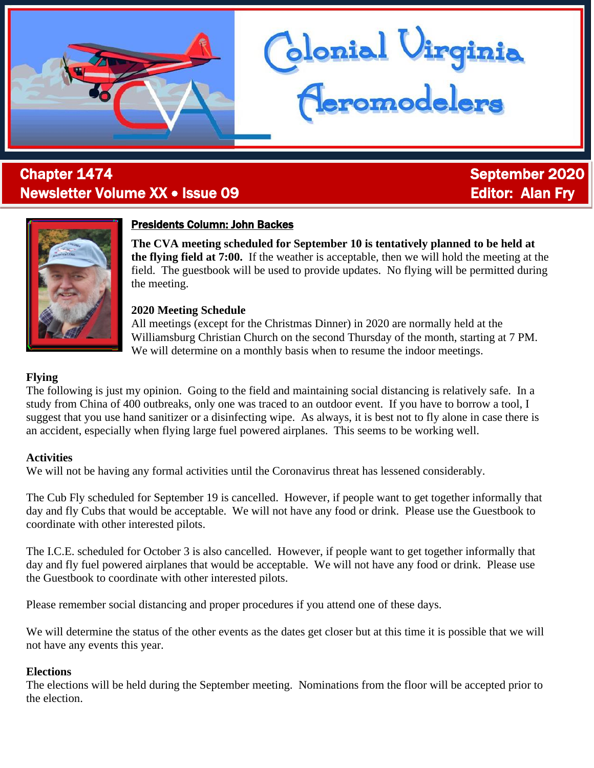# **Chapter 1474** September 2020 Newsletter Volume XX • Issue 09 **Editor: Alan Fry** Editor: Alan Fry



## Presidents Column: John Backes

**The CVA meeting scheduled for September 10 is tentatively planned to be held at the flying field at 7:00.** If the weather is acceptable, then we will hold the meeting at the field. The guestbook will be used to provide updates. No flying will be permitted during the meeting.

lonial Uirginia<br><mark>(Leromodelers</mark>

#### **2020 Meeting Schedule**

All meetings (except for the Christmas Dinner) in 2020 are normally held at the Williamsburg Christian Church on the second Thursday of the month, starting at 7 PM. We will determine on a monthly basis when to resume the indoor meetings.

#### **Flying**

The following is just my opinion. Going to the field and maintaining social distancing is relatively safe. In a study from China of 400 outbreaks, only one was traced to an outdoor event. If you have to borrow a tool, I suggest that you use hand sanitizer or a disinfecting wipe. As always, it is best not to fly alone in case there is an accident, especially when flying large fuel powered airplanes. This seems to be working well.

#### **Activities**

We will not be having any formal activities until the Coronavirus threat has lessened considerably.

The Cub Fly scheduled for September 19 is cancelled. However, if people want to get together informally that day and fly Cubs that would be acceptable. We will not have any food or drink. Please use the Guestbook to coordinate with other interested pilots.

The I.C.E. scheduled for October 3 is also cancelled. However, if people want to get together informally that day and fly fuel powered airplanes that would be acceptable. We will not have any food or drink. Please use the Guestbook to coordinate with other interested pilots.

Please remember social distancing and proper procedures if you attend one of these days.

We will determine the status of the other events as the dates get closer but at this time it is possible that we will not have any events this year.

#### **Elections**

The elections will be held during the September meeting. Nominations from the floor will be accepted prior to the election.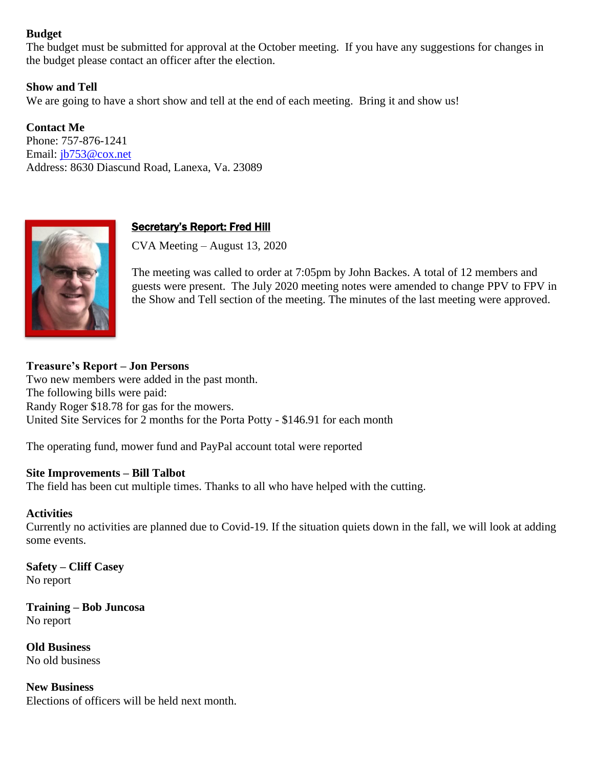#### **Budget**

The budget must be submitted for approval at the October meeting. If you have any suggestions for changes in the budget please contact an officer after the election.

#### **Show and Tell**

We are going to have a short show and tell at the end of each meeting. Bring it and show us!

**Contact Me** Phone: 757-876-1241 Email: [jb753@cox.net](mailto:jb753@cox.net) Address: 8630 Diascund Road, Lanexa, Va. 23089



### Secretary's Report: Fred Hill

CVA Meeting – August 13, 2020

The meeting was called to order at 7:05pm by John Backes. A total of 12 members and guests were present. The July 2020 meeting notes were amended to change PPV to FPV in the Show and Tell section of the meeting. The minutes of the last meeting were approved.

### **Treasure's Report – Jon Persons**

Two new members were added in the past month. The following bills were paid: Randy Roger \$18.78 for gas for the mowers. United Site Services for 2 months for the Porta Potty - \$146.91 for each month

The operating fund, mower fund and PayPal account total were reported

#### **Site Improvements – Bill Talbot**

The field has been cut multiple times. Thanks to all who have helped with the cutting.

#### **Activities**

Currently no activities are planned due to Covid-19. If the situation quiets down in the fall, we will look at adding some events.

**Safety – Cliff Casey** No report

**Training – Bob Juncosa** No report

**Old Business** No old business

**New Business** Elections of officers will be held next month.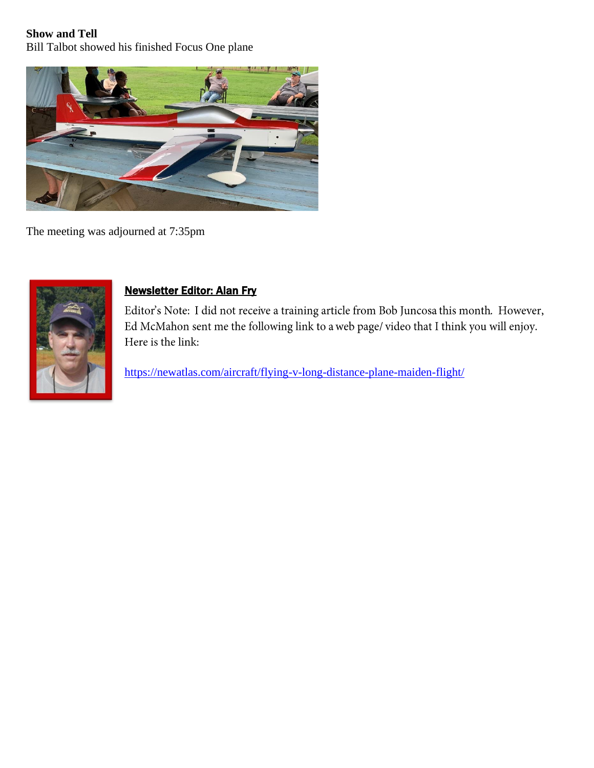# **Show and Tell**

Bill Talbot showed his finished Focus One plane



The meeting was adjourned at 7:35pm



# Newsletter Editor: Alan Fry

Editor's Note: I did not receive a training article from Bob Juncosa this month. However, Ed McMahon sent me the following link to a web page/video that I think you will enjoy. Here is the link:

<https://newatlas.com/aircraft/flying-v-long-distance-plane-maiden-flight/>